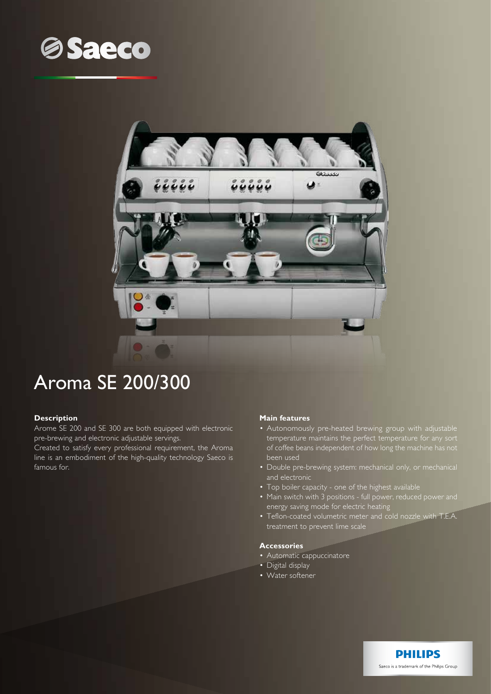



# Aroma SE 200/300

## **Description**

Arome SE 200 and SE 300 are both equipped with electronic pre-brewing and electronic adjustable servings.

Created to satisfy every professional requirement, the Aroma line is an embodiment of the high-quality technology Saeco is famous for.

## **Main features**

- Autonomously pre-heated brewing group with adjustable temperature maintains the perfect temperature for any sort of coffee beans independent of how long the machine has not been used
- Double pre-brewing system: mechanical only, or mechanical and electronic
- Top boiler capacity one of the highest available
- Main switch with 3 positions full power, reduced power and energy saving mode for electric heating
- Teflon-coated volumetric meter and cold nozzle with T.E.A. treatment to prevent lime scale

#### **Accessories**

- Automatic cappuccinatore
- Digital display
- Water softener